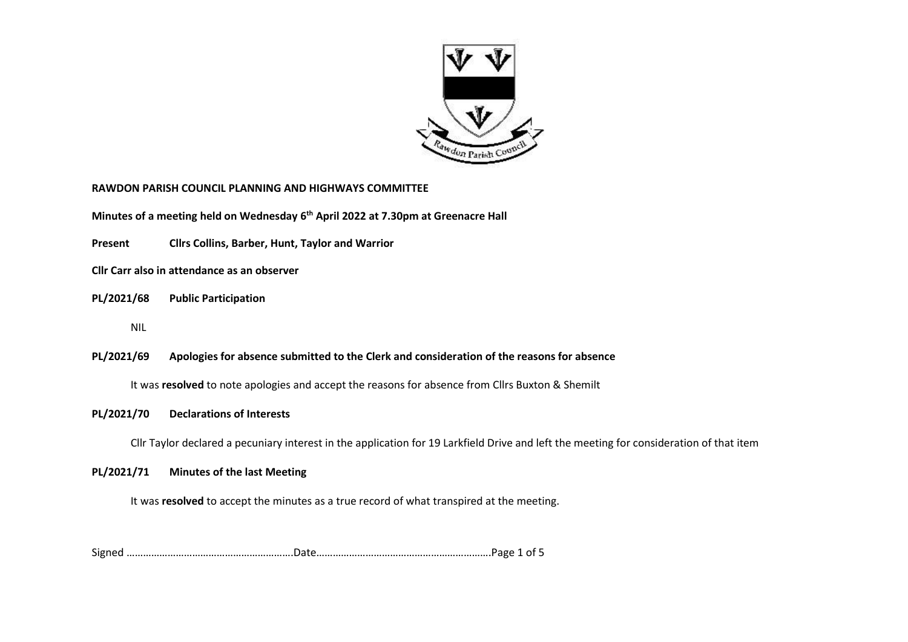

#### **RAWDON PARISH COUNCIL PLANNING AND HIGHWAYS COMMITTEE**

**Minutes of a meeting held on Wednesday 6 th April 2022 at 7.30pm at Greenacre Hall**

**Present Cllrs Collins, Barber, Hunt, Taylor and Warrior**

**Cllr Carr also in attendance as an observer**

#### **PL/2021/68 Public Participation**

NIL

## **PL/2021/69 Apologies for absence submitted to the Clerk and consideration of the reasons for absence**

It was **resolved** to note apologies and accept the reasons for absence from Cllrs Buxton & Shemilt

#### **PL/2021/70 Declarations of Interests**

Cllr Taylor declared a pecuniary interest in the application for 19 Larkfield Drive and left the meeting for consideration of that item

#### **PL/2021/71 Minutes of the last Meeting**

It was **resolved** to accept the minutes as a true record of what transpired at the meeting.

Signed …………………………………………………….Date……………………………………………………….Page 1 of 5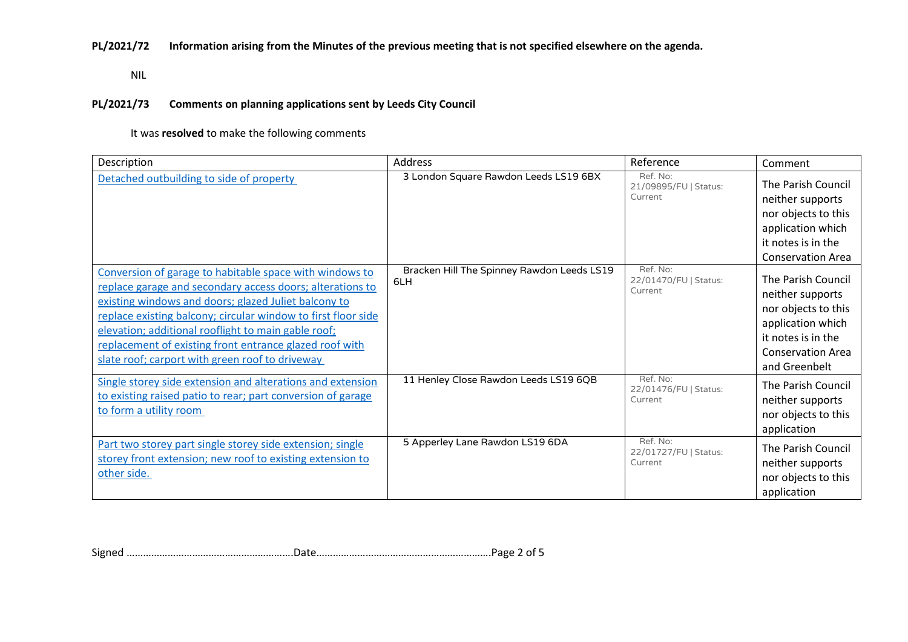**PL/2021/72 Information arising from the Minutes of the previous meeting that is not specified elsewhere on the agenda.**

NIL

### **PL/2021/73 Comments on planning applications sent by Leeds City Council**

It was **resolved** to make the following comments

| Description                                                                                                                                                                                                                                                                                                                                                                                                        | Address                                           | Reference                                    | Comment                                                                                                                                               |
|--------------------------------------------------------------------------------------------------------------------------------------------------------------------------------------------------------------------------------------------------------------------------------------------------------------------------------------------------------------------------------------------------------------------|---------------------------------------------------|----------------------------------------------|-------------------------------------------------------------------------------------------------------------------------------------------------------|
| Detached outbuilding to side of property                                                                                                                                                                                                                                                                                                                                                                           | 3 London Square Rawdon Leeds LS19 6BX             | Ref. No:<br>21/09895/FU   Status:<br>Current | The Parish Council<br>neither supports<br>nor objects to this<br>application which<br>it notes is in the<br><b>Conservation Area</b>                  |
| Conversion of garage to habitable space with windows to<br>replace garage and secondary access doors; alterations to<br>existing windows and doors; glazed Juliet balcony to<br>replace existing balcony; circular window to first floor side<br>elevation; additional rooflight to main gable roof;<br>replacement of existing front entrance glazed roof with<br>slate roof; carport with green roof to driveway | Bracken Hill The Spinney Rawdon Leeds LS19<br>6LH | Ref. No:<br>22/01470/FU   Status:<br>Current | The Parish Council<br>neither supports<br>nor objects to this<br>application which<br>it notes is in the<br><b>Conservation Area</b><br>and Greenbelt |
| Single storey side extension and alterations and extension<br>to existing raised patio to rear; part conversion of garage<br>to form a utility room                                                                                                                                                                                                                                                                | 11 Henley Close Rawdon Leeds LS19 6QB             | Ref. No:<br>22/01476/FU   Status:<br>Current | The Parish Council<br>neither supports<br>nor objects to this<br>application                                                                          |
| Part two storey part single storey side extension; single<br>storey front extension; new roof to existing extension to<br>other side.                                                                                                                                                                                                                                                                              | 5 Apperley Lane Rawdon LS19 6DA                   | Ref. No:<br>22/01727/FU   Status:<br>Current | The Parish Council<br>neither supports<br>nor objects to this<br>application                                                                          |

Signed …………………………………………………….Date……………………………………………………….Page 2 of 5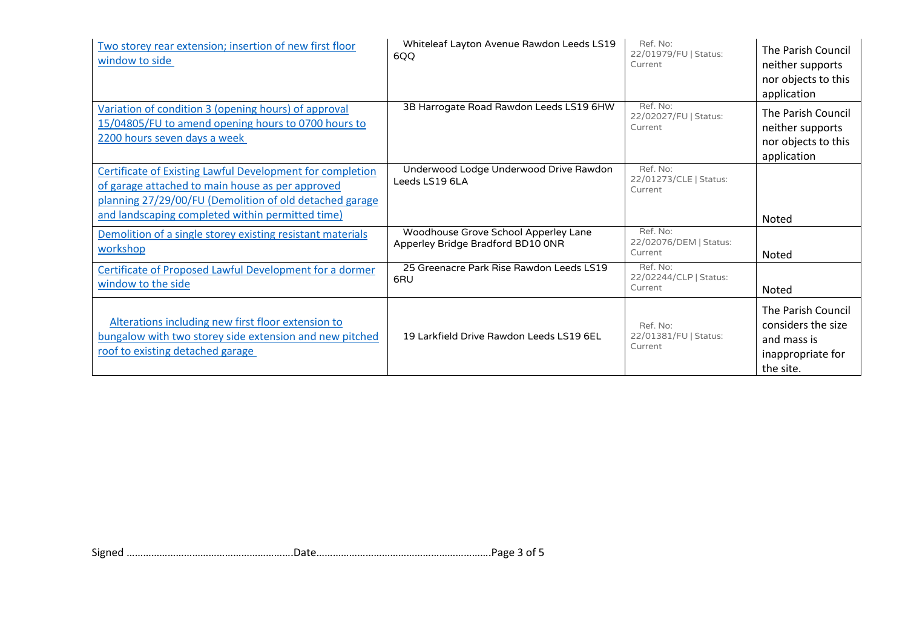| Two storey rear extension; insertion of new first floor<br>window to side                                                                                                                                                           | Whiteleaf Layton Avenue Rawdon Leeds LS19<br>6QQ                          | Ref. No:<br>22/01979/FU   Status:<br>Current  | The Parish Council<br>neither supports<br>nor objects to this<br>application              |
|-------------------------------------------------------------------------------------------------------------------------------------------------------------------------------------------------------------------------------------|---------------------------------------------------------------------------|-----------------------------------------------|-------------------------------------------------------------------------------------------|
| Variation of condition 3 (opening hours) of approval<br>15/04805/FU to amend opening hours to 0700 hours to<br>2200 hours seven days a week                                                                                         | 3B Harrogate Road Rawdon Leeds LS19 6HW                                   | Ref. No:<br>22/02027/FU   Status:<br>Current  | The Parish Council<br>neither supports<br>nor objects to this<br>application              |
| <b>Certificate of Existing Lawful Development for completion</b><br>of garage attached to main house as per approved<br>planning 27/29/00/FU (Demolition of old detached garage<br>and landscaping completed within permitted time) | Underwood Lodge Underwood Drive Rawdon<br>Leeds LS19 6LA                  | Ref. No:<br>22/01273/CLE   Status:<br>Current | Noted                                                                                     |
| Demolition of a single storey existing resistant materials<br>workshop                                                                                                                                                              | Woodhouse Grove School Apperley Lane<br>Apperley Bridge Bradford BD10 ONR | Ref. No:<br>22/02076/DEM   Status:<br>Current | Noted                                                                                     |
| Certificate of Proposed Lawful Development for a dormer<br>window to the side                                                                                                                                                       | 25 Greenacre Park Rise Rawdon Leeds LS19<br>6RU                           | Ref. No:<br>22/02244/CLP   Status:<br>Current | Noted                                                                                     |
| Alterations including new first floor extension to<br>bungalow with two storey side extension and new pitched<br>roof to existing detached garage                                                                                   | 19 Larkfield Drive Rawdon Leeds LS19 6EL                                  | Ref. No:<br>22/01381/FU   Status:<br>Current  | The Parish Council<br>considers the size<br>and mass is<br>inappropriate for<br>the site. |

Signed …………………………………………………….Date……………………………………………………….Page 3 of 5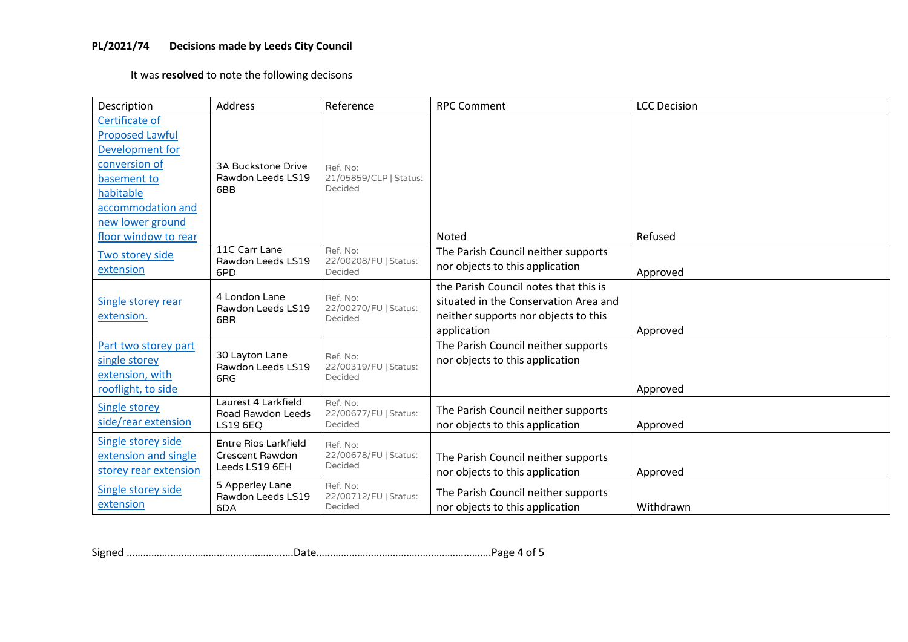# **PL/2021/74 Decisions made by Leeds City Council**

It was **resolved** to note the following decisons

| Description                                                                                                                                       | Address                                                          | Reference                                     | <b>RPC Comment</b>                                                                                                                    | <b>LCC Decision</b> |
|---------------------------------------------------------------------------------------------------------------------------------------------------|------------------------------------------------------------------|-----------------------------------------------|---------------------------------------------------------------------------------------------------------------------------------------|---------------------|
| Certificate of<br><b>Proposed Lawful</b><br>Development for<br>conversion of<br>basement to<br>habitable<br>accommodation and<br>new lower ground | <b>3A Buckstone Drive</b><br>Rawdon Leeds LS19<br>6BB            | Ref. No:<br>21/05859/CLP   Status:<br>Decided |                                                                                                                                       |                     |
| floor window to rear                                                                                                                              |                                                                  |                                               | Noted                                                                                                                                 | Refused             |
| Two storey side<br>extension                                                                                                                      | 11C Carr Lane<br>Rawdon Leeds LS19<br>6PD                        | Ref. No:<br>22/00208/FU   Status:<br>Decided  | The Parish Council neither supports<br>nor objects to this application                                                                | Approved            |
| Single storey rear<br>extension.                                                                                                                  | 4 London Lane<br>Rawdon Leeds LS19<br>6BR                        | Ref. No:<br>22/00270/FU   Status:<br>Decided  | the Parish Council notes that this is<br>situated in the Conservation Area and<br>neither supports nor objects to this<br>application | Approved            |
| Part two storey part<br>single storey<br>extension, with<br>rooflight, to side                                                                    | 30 Layton Lane<br>Rawdon Leeds LS19<br>6RG                       | Ref. No:<br>22/00319/FU   Status:<br>Decided  | The Parish Council neither supports<br>nor objects to this application                                                                | Approved            |
| <b>Single storey</b><br>side/rear extension                                                                                                       | Laurest 4 Larkfield<br>Road Rawdon Leeds<br><b>LS19 6EQ</b>      | Ref. No:<br>22/00677/FU   Status:<br>Decided  | The Parish Council neither supports<br>nor objects to this application                                                                | Approved            |
| Single storey side<br>extension and single<br>storey rear extension                                                                               | <b>Entre Rios Larkfield</b><br>Crescent Rawdon<br>Leeds LS19 6EH | Ref. No:<br>22/00678/FU   Status:<br>Decided  | The Parish Council neither supports<br>nor objects to this application                                                                | Approved            |
| Single storey side<br>extension                                                                                                                   | 5 Apperley Lane<br>Rawdon Leeds LS19<br>6DA                      | Ref. No:<br>22/00712/FU   Status:<br>Decided  | The Parish Council neither supports<br>nor objects to this application                                                                | Withdrawn           |

Signed …………………………………………………….Date……………………………………………………….Page 4 of 5